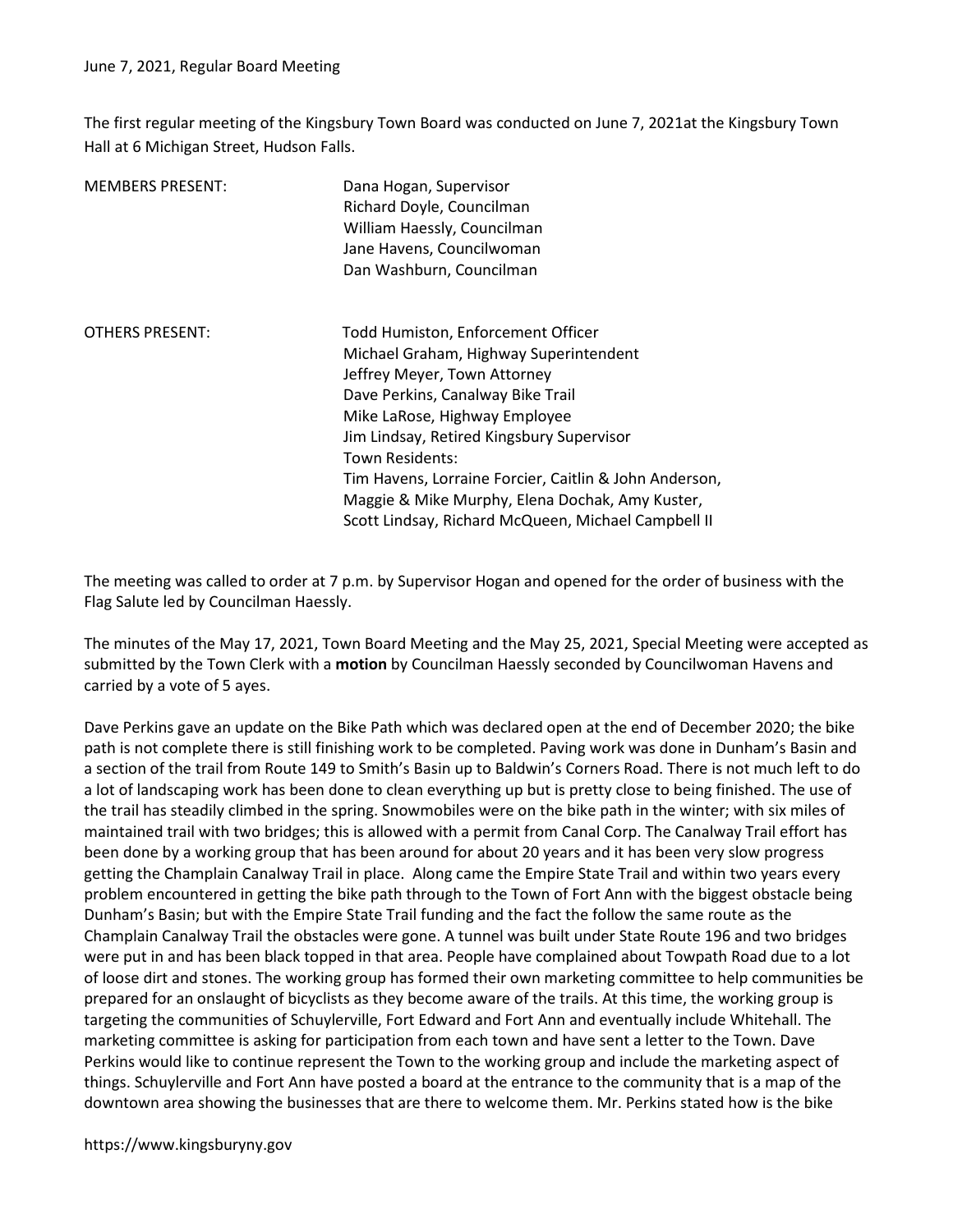The first regular meeting of the Kingsbury Town Board was conducted on June 7, 2021at the Kingsbury Town Hall at 6 Michigan Street, Hudson Falls.

| Dana Hogan, Supervisor<br>Richard Doyle, Councilman<br>William Haessly, Councilman<br>Jane Havens, Councilwoman<br>Dan Washburn, Councilman                                                                                                                                                                                                                                                                            |
|------------------------------------------------------------------------------------------------------------------------------------------------------------------------------------------------------------------------------------------------------------------------------------------------------------------------------------------------------------------------------------------------------------------------|
| Todd Humiston, Enforcement Officer<br>Michael Graham, Highway Superintendent<br>Jeffrey Meyer, Town Attorney<br>Dave Perkins, Canalway Bike Trail<br>Mike LaRose, Highway Employee<br>Jim Lindsay, Retired Kingsbury Supervisor<br>Town Residents:<br>Tim Havens, Lorraine Forcier, Caitlin & John Anderson,<br>Maggie & Mike Murphy, Elena Dochak, Amy Kuster,<br>Scott Lindsay, Richard McQueen, Michael Campbell II |
|                                                                                                                                                                                                                                                                                                                                                                                                                        |

The meeting was called to order at 7 p.m. by Supervisor Hogan and opened for the order of business with the Flag Salute led by Councilman Haessly.

The minutes of the May 17, 2021, Town Board Meeting and the May 25, 2021, Special Meeting were accepted as submitted by the Town Clerk with a motion by Councilman Haessly seconded by Councilwoman Havens and carried by a vote of 5 ayes.

Dave Perkins gave an update on the Bike Path which was declared open at the end of December 2020; the bike path is not complete there is still finishing work to be completed. Paving work was done in Dunham's Basin and a section of the trail from Route 149 to Smith's Basin up to Baldwin's Corners Road. There is not much left to do a lot of landscaping work has been done to clean everything up but is pretty close to being finished. The use of the trail has steadily climbed in the spring. Snowmobiles were on the bike path in the winter; with six miles of maintained trail with two bridges; this is allowed with a permit from Canal Corp. The Canalway Trail effort has been done by a working group that has been around for about 20 years and it has been very slow progress getting the Champlain Canalway Trail in place. Along came the Empire State Trail and within two years every problem encountered in getting the bike path through to the Town of Fort Ann with the biggest obstacle being Dunham's Basin; but with the Empire State Trail funding and the fact the follow the same route as the Champlain Canalway Trail the obstacles were gone. A tunnel was built under State Route 196 and two bridges were put in and has been black topped in that area. People have complained about Towpath Road due to a lot of loose dirt and stones. The working group has formed their own marketing committee to help communities be prepared for an onslaught of bicyclists as they become aware of the trails. At this time, the working group is targeting the communities of Schuylerville, Fort Edward and Fort Ann and eventually include Whitehall. The marketing committee is asking for participation from each town and have sent a letter to the Town. Dave Perkins would like to continue represent the Town to the working group and include the marketing aspect of things. Schuylerville and Fort Ann have posted a board at the entrance to the community that is a map of the downtown area showing the businesses that are there to welcome them. Mr. Perkins stated how is the bike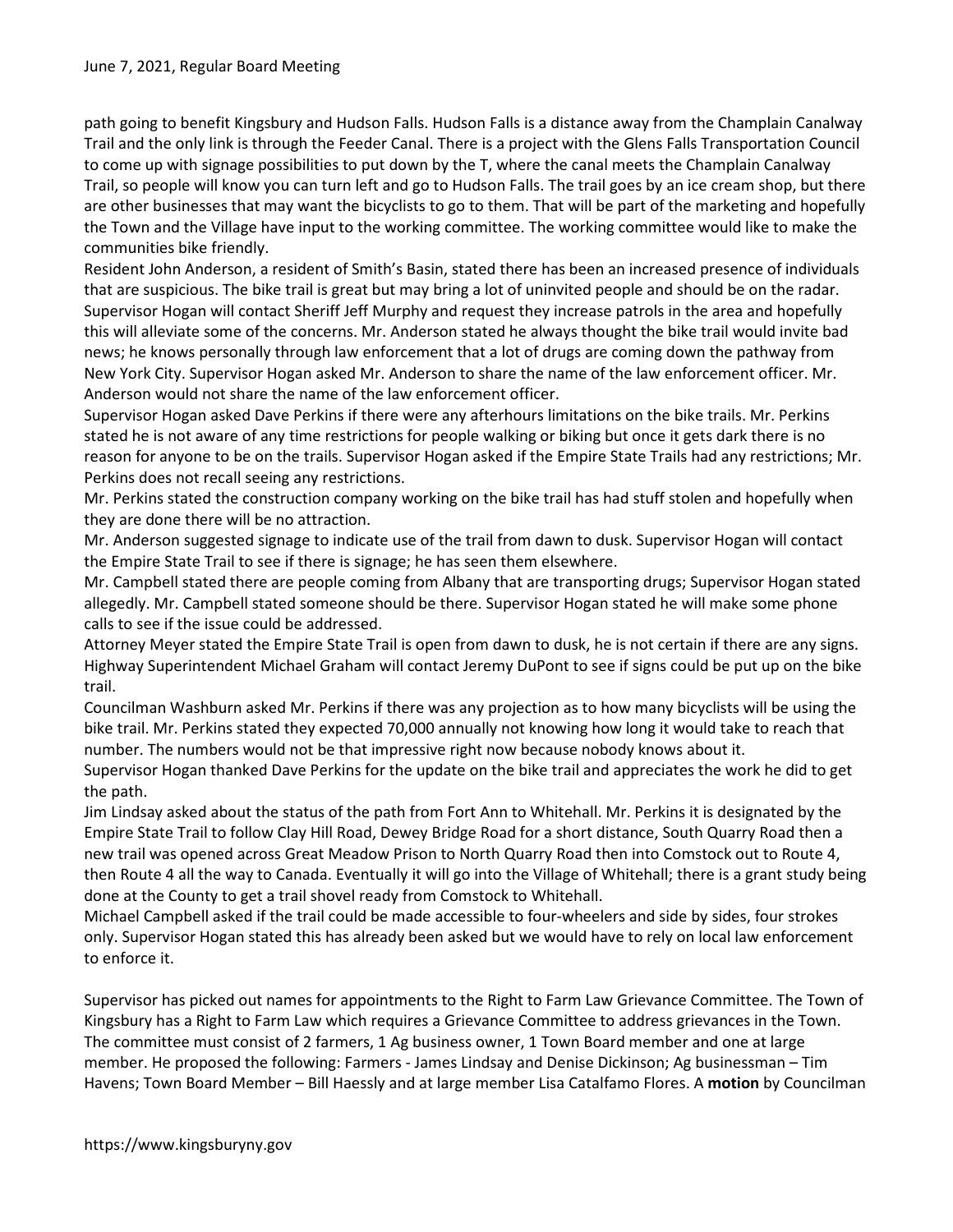path going to benefit Kingsbury and Hudson Falls. Hudson Falls is a distance away from the Champlain Canalway Trail and the only link is through the Feeder Canal. There is a project with the Glens Falls Transportation Council to come up with signage possibilities to put down by the T, where the canal meets the Champlain Canalway Trail, so people will know you can turn left and go to Hudson Falls. The trail goes by an ice cream shop, but there are other businesses that may want the bicyclists to go to them. That will be part of the marketing and hopefully the Town and the Village have input to the working committee. The working committee would like to make the communities bike friendly.

Resident John Anderson, a resident of Smith's Basin, stated there has been an increased presence of individuals that are suspicious. The bike trail is great but may bring a lot of uninvited people and should be on the radar. Supervisor Hogan will contact Sheriff Jeff Murphy and request they increase patrols in the area and hopefully this will alleviate some of the concerns. Mr. Anderson stated he always thought the bike trail would invite bad news; he knows personally through law enforcement that a lot of drugs are coming down the pathway from New York City. Supervisor Hogan asked Mr. Anderson to share the name of the law enforcement officer. Mr. Anderson would not share the name of the law enforcement officer.

Supervisor Hogan asked Dave Perkins if there were any afterhours limitations on the bike trails. Mr. Perkins stated he is not aware of any time restrictions for people walking or biking but once it gets dark there is no reason for anyone to be on the trails. Supervisor Hogan asked if the Empire State Trails had any restrictions; Mr. Perkins does not recall seeing any restrictions.

Mr. Perkins stated the construction company working on the bike trail has had stuff stolen and hopefully when they are done there will be no attraction.

Mr. Anderson suggested signage to indicate use of the trail from dawn to dusk. Supervisor Hogan will contact the Empire State Trail to see if there is signage; he has seen them elsewhere.

Mr. Campbell stated there are people coming from Albany that are transporting drugs; Supervisor Hogan stated allegedly. Mr. Campbell stated someone should be there. Supervisor Hogan stated he will make some phone calls to see if the issue could be addressed.

Attorney Meyer stated the Empire State Trail is open from dawn to dusk, he is not certain if there are any signs. Highway Superintendent Michael Graham will contact Jeremy DuPont to see if signs could be put up on the bike trail.

Councilman Washburn asked Mr. Perkins if there was any projection as to how many bicyclists will be using the bike trail. Mr. Perkins stated they expected 70,000 annually not knowing how long it would take to reach that number. The numbers would not be that impressive right now because nobody knows about it.

Supervisor Hogan thanked Dave Perkins for the update on the bike trail and appreciates the work he did to get the path.

Jim Lindsay asked about the status of the path from Fort Ann to Whitehall. Mr. Perkins it is designated by the Empire State Trail to follow Clay Hill Road, Dewey Bridge Road for a short distance, South Quarry Road then a new trail was opened across Great Meadow Prison to North Quarry Road then into Comstock out to Route 4, then Route 4 all the way to Canada. Eventually it will go into the Village of Whitehall; there is a grant study being done at the County to get a trail shovel ready from Comstock to Whitehall.

Michael Campbell asked if the trail could be made accessible to four-wheelers and side by sides, four strokes only. Supervisor Hogan stated this has already been asked but we would have to rely on local law enforcement to enforce it.

Supervisor has picked out names for appointments to the Right to Farm Law Grievance Committee. The Town of Kingsbury has a Right to Farm Law which requires a Grievance Committee to address grievances in the Town. The committee must consist of 2 farmers, 1 Ag business owner, 1 Town Board member and one at large member. He proposed the following: Farmers - James Lindsay and Denise Dickinson; Ag businessman – Tim Havens; Town Board Member – Bill Haessly and at large member Lisa Catalfamo Flores. A motion by Councilman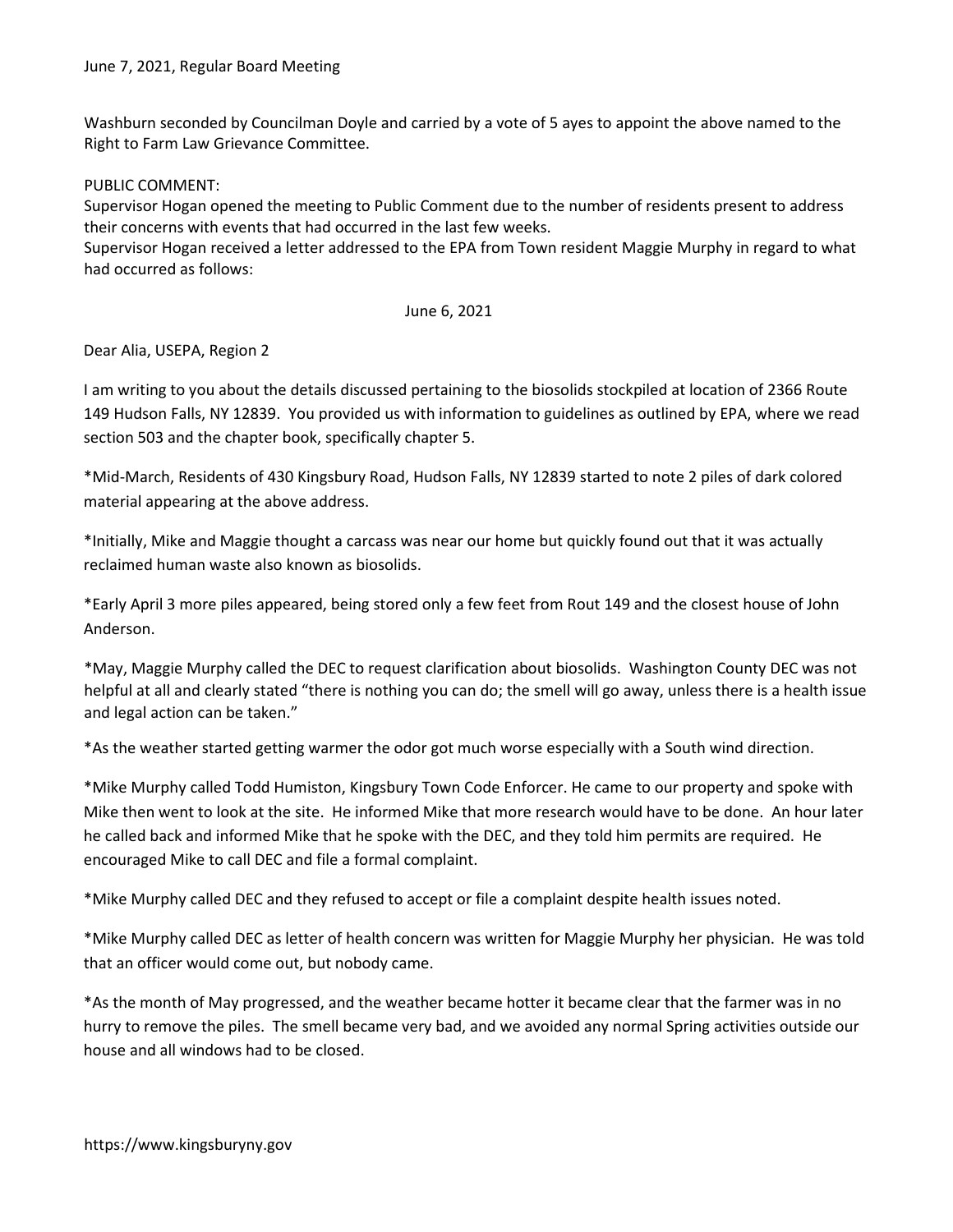Washburn seconded by Councilman Doyle and carried by a vote of 5 ayes to appoint the above named to the Right to Farm Law Grievance Committee.

PUBLIC COMMENT:

Supervisor Hogan opened the meeting to Public Comment due to the number of residents present to address their concerns with events that had occurred in the last few weeks.

Supervisor Hogan received a letter addressed to the EPA from Town resident Maggie Murphy in regard to what had occurred as follows:

## June 6, 2021

Dear Alia, USEPA, Region 2

I am writing to you about the details discussed pertaining to the biosolids stockpiled at location of 2366 Route 149 Hudson Falls, NY 12839. You provided us with information to guidelines as outlined by EPA, where we read section 503 and the chapter book, specifically chapter 5.

\*Mid-March, Residents of 430 Kingsbury Road, Hudson Falls, NY 12839 started to note 2 piles of dark colored material appearing at the above address.

\*Initially, Mike and Maggie thought a carcass was near our home but quickly found out that it was actually reclaimed human waste also known as biosolids.

\*Early April 3 more piles appeared, being stored only a few feet from Rout 149 and the closest house of John Anderson.

\*May, Maggie Murphy called the DEC to request clarification about biosolids. Washington County DEC was not helpful at all and clearly stated "there is nothing you can do; the smell will go away, unless there is a health issue and legal action can be taken."

\*As the weather started getting warmer the odor got much worse especially with a South wind direction.

\*Mike Murphy called Todd Humiston, Kingsbury Town Code Enforcer. He came to our property and spoke with Mike then went to look at the site. He informed Mike that more research would have to be done. An hour later he called back and informed Mike that he spoke with the DEC, and they told him permits are required. He encouraged Mike to call DEC and file a formal complaint.

\*Mike Murphy called DEC and they refused to accept or file a complaint despite health issues noted.

\*Mike Murphy called DEC as letter of health concern was written for Maggie Murphy her physician. He was told that an officer would come out, but nobody came.

\*As the month of May progressed, and the weather became hotter it became clear that the farmer was in no hurry to remove the piles. The smell became very bad, and we avoided any normal Spring activities outside our house and all windows had to be closed.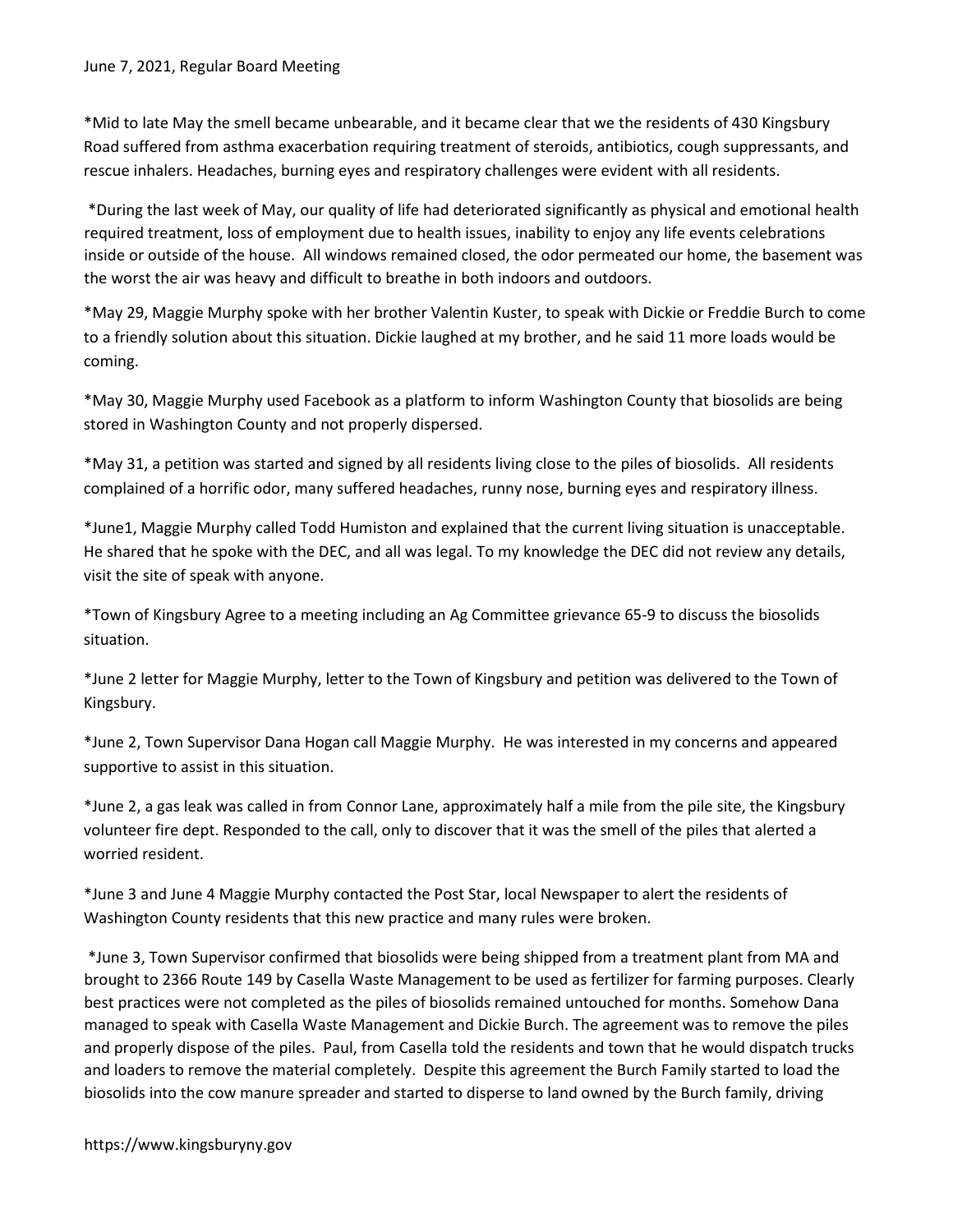\*Mid to late May the smell became unbearable, and it became clear that we the residents of 430 Kingsbury Road suffered from asthma exacerbation requiring treatment of steroids, antibiotics, cough suppressants, and rescue inhalers. Headaches, burning eyes and respiratory challenges were evident with all residents.

 \*During the last week of May, our quality of life had deteriorated significantly as physical and emotional health required treatment, loss of employment due to health issues, inability to enjoy any life events celebrations inside or outside of the house. All windows remained closed, the odor permeated our home, the basement was the worst the air was heavy and difficult to breathe in both indoors and outdoors.

\*May 29, Maggie Murphy spoke with her brother Valentin Kuster, to speak with Dickie or Freddie Burch to come to a friendly solution about this situation. Dickie laughed at my brother, and he said 11 more loads would be coming.

\*May 30, Maggie Murphy used Facebook as a platform to inform Washington County that biosolids are being stored in Washington County and not properly dispersed.

\*May 31, a petition was started and signed by all residents living close to the piles of biosolids. All residents complained of a horrific odor, many suffered headaches, runny nose, burning eyes and respiratory illness.

\*June1, Maggie Murphy called Todd Humiston and explained that the current living situation is unacceptable. He shared that he spoke with the DEC, and all was legal. To my knowledge the DEC did not review any details, visit the site of speak with anyone.

\*Town of Kingsbury Agree to a meeting including an Ag Committee grievance 65-9 to discuss the biosolids situation.

\*June 2 letter for Maggie Murphy, letter to the Town of Kingsbury and petition was delivered to the Town of Kingsbury.

\*June 2, Town Supervisor Dana Hogan call Maggie Murphy. He was interested in my concerns and appeared supportive to assist in this situation.

\*June 2, a gas leak was called in from Connor Lane, approximately half a mile from the pile site, the Kingsbury volunteer fire dept. Responded to the call, only to discover that it was the smell of the piles that alerted a worried resident.

\*June 3 and June 4 Maggie Murphy contacted the Post Star, local Newspaper to alert the residents of Washington County residents that this new practice and many rules were broken.

 \*June 3, Town Supervisor confirmed that biosolids were being shipped from a treatment plant from MA and brought to 2366 Route 149 by Casella Waste Management to be used as fertilizer for farming purposes. Clearly best practices were not completed as the piles of biosolids remained untouched for months. Somehow Dana managed to speak with Casella Waste Management and Dickie Burch. The agreement was to remove the piles and properly dispose of the piles. Paul, from Casella told the residents and town that he would dispatch trucks and loaders to remove the material completely. Despite this agreement the Burch Family started to load the biosolids into the cow manure spreader and started to disperse to land owned by the Burch family, driving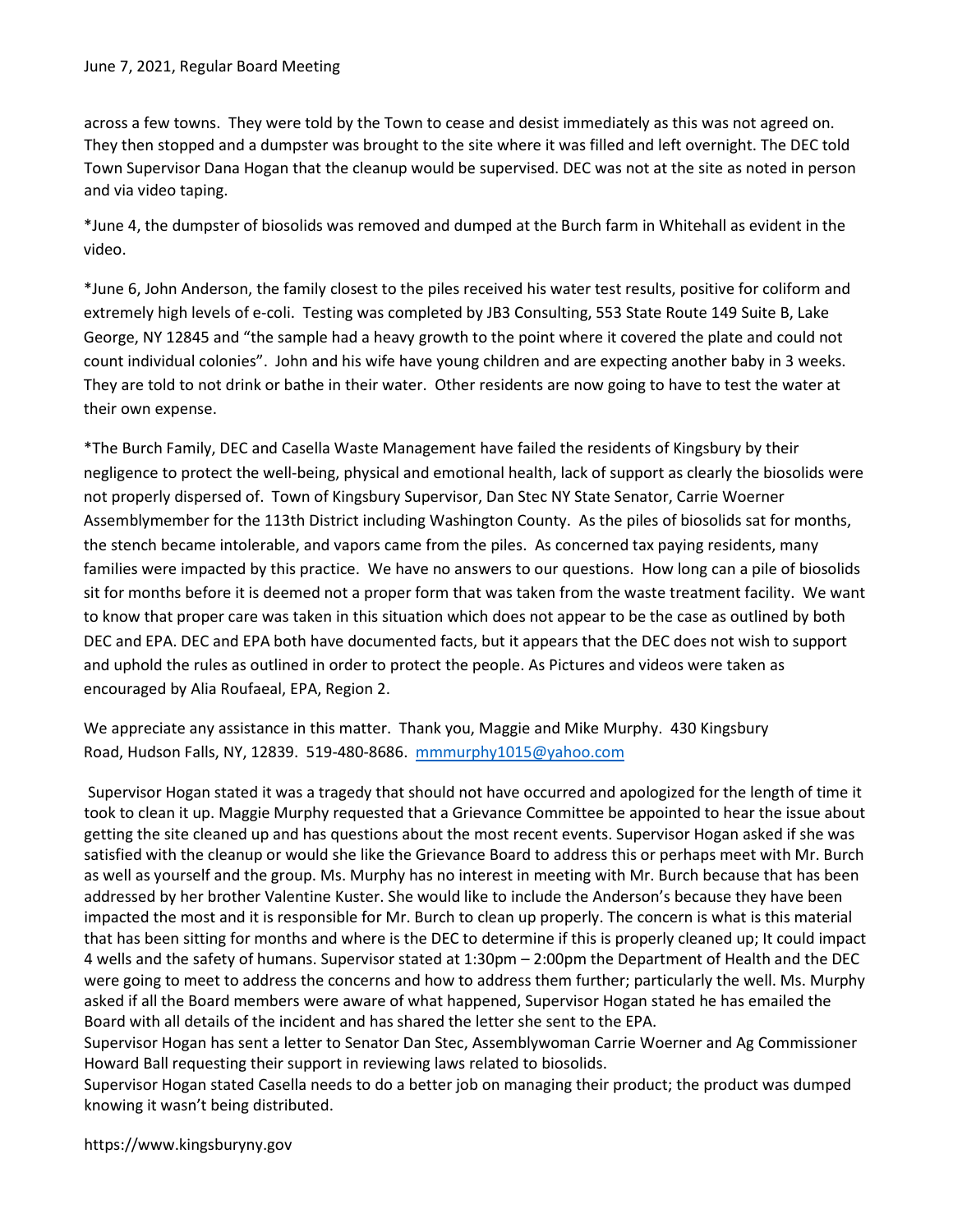across a few towns. They were told by the Town to cease and desist immediately as this was not agreed on. They then stopped and a dumpster was brought to the site where it was filled and left overnight. The DEC told Town Supervisor Dana Hogan that the cleanup would be supervised. DEC was not at the site as noted in person and via video taping.

\*June 4, the dumpster of biosolids was removed and dumped at the Burch farm in Whitehall as evident in the video.

\*June 6, John Anderson, the family closest to the piles received his water test results, positive for coliform and extremely high levels of e-coli. Testing was completed by JB3 Consulting, 553 State Route 149 Suite B, Lake George, NY 12845 and "the sample had a heavy growth to the point where it covered the plate and could not count individual colonies". John and his wife have young children and are expecting another baby in 3 weeks. They are told to not drink or bathe in their water. Other residents are now going to have to test the water at their own expense.

\*The Burch Family, DEC and Casella Waste Management have failed the residents of Kingsbury by their negligence to protect the well-being, physical and emotional health, lack of support as clearly the biosolids were not properly dispersed of. Town of Kingsbury Supervisor, Dan Stec NY State Senator, Carrie Woerner Assemblymember for the 113th District including Washington County. As the piles of biosolids sat for months, the stench became intolerable, and vapors came from the piles. As concerned tax paying residents, many families were impacted by this practice. We have no answers to our questions. How long can a pile of biosolids sit for months before it is deemed not a proper form that was taken from the waste treatment facility. We want to know that proper care was taken in this situation which does not appear to be the case as outlined by both DEC and EPA. DEC and EPA both have documented facts, but it appears that the DEC does not wish to support and uphold the rules as outlined in order to protect the people. As Pictures and videos were taken as encouraged by Alia Roufaeal, EPA, Region 2.

We appreciate any assistance in this matter. Thank you, Maggie and Mike Murphy. 430 Kingsbury Road, Hudson Falls, NY, 12839. 519-480-8686. mmmurphy1015@yahoo.com

 Supervisor Hogan stated it was a tragedy that should not have occurred and apologized for the length of time it took to clean it up. Maggie Murphy requested that a Grievance Committee be appointed to hear the issue about getting the site cleaned up and has questions about the most recent events. Supervisor Hogan asked if she was satisfied with the cleanup or would she like the Grievance Board to address this or perhaps meet with Mr. Burch as well as yourself and the group. Ms. Murphy has no interest in meeting with Mr. Burch because that has been addressed by her brother Valentine Kuster. She would like to include the Anderson's because they have been impacted the most and it is responsible for Mr. Burch to clean up properly. The concern is what is this material that has been sitting for months and where is the DEC to determine if this is properly cleaned up; It could impact 4 wells and the safety of humans. Supervisor stated at 1:30pm – 2:00pm the Department of Health and the DEC were going to meet to address the concerns and how to address them further; particularly the well. Ms. Murphy asked if all the Board members were aware of what happened, Supervisor Hogan stated he has emailed the Board with all details of the incident and has shared the letter she sent to the EPA.

Supervisor Hogan has sent a letter to Senator Dan Stec, Assemblywoman Carrie Woerner and Ag Commissioner Howard Ball requesting their support in reviewing laws related to biosolids.

Supervisor Hogan stated Casella needs to do a better job on managing their product; the product was dumped knowing it wasn't being distributed.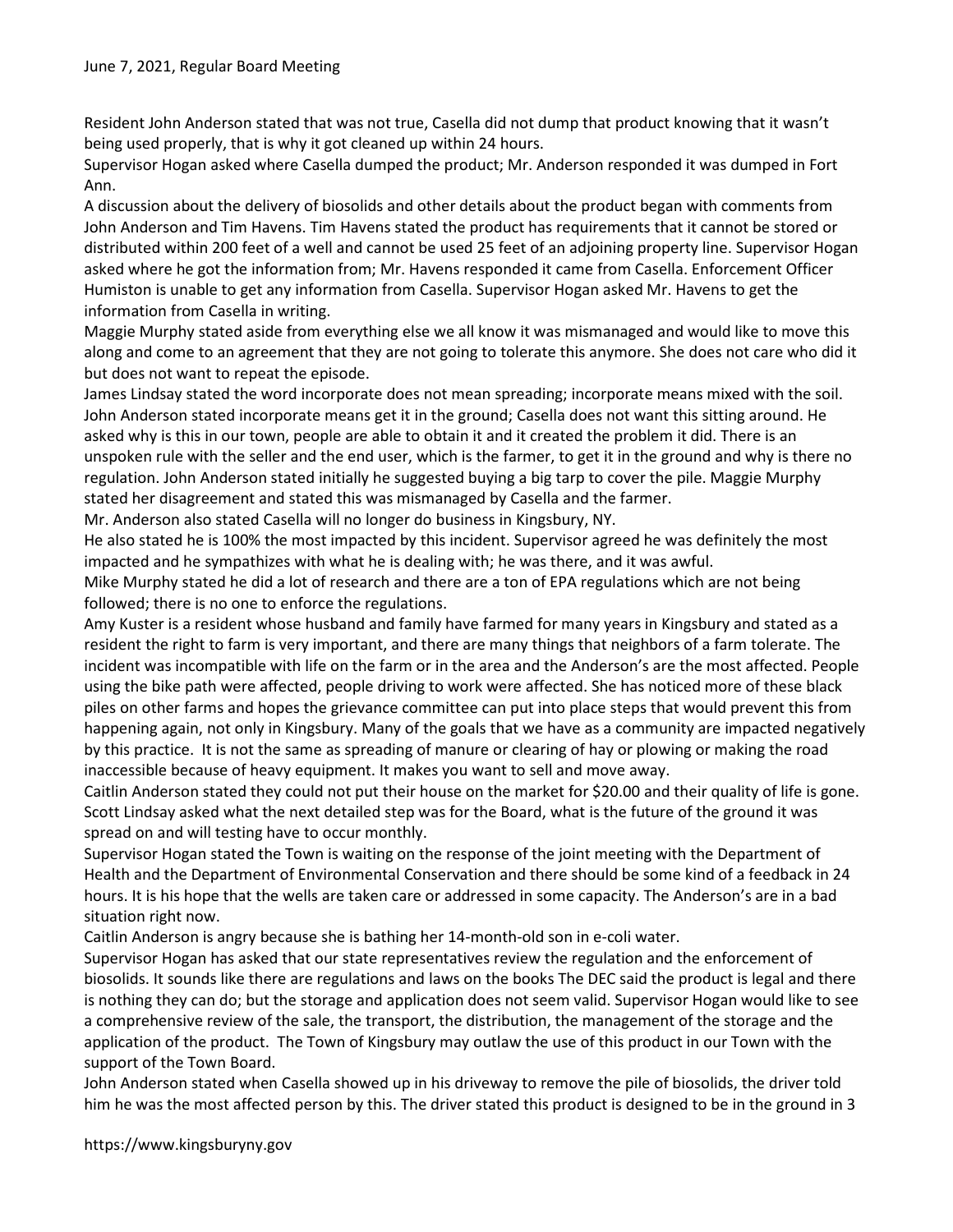Resident John Anderson stated that was not true, Casella did not dump that product knowing that it wasn't being used properly, that is why it got cleaned up within 24 hours.

Supervisor Hogan asked where Casella dumped the product; Mr. Anderson responded it was dumped in Fort Ann.

A discussion about the delivery of biosolids and other details about the product began with comments from John Anderson and Tim Havens. Tim Havens stated the product has requirements that it cannot be stored or distributed within 200 feet of a well and cannot be used 25 feet of an adjoining property line. Supervisor Hogan asked where he got the information from; Mr. Havens responded it came from Casella. Enforcement Officer Humiston is unable to get any information from Casella. Supervisor Hogan asked Mr. Havens to get the information from Casella in writing.

Maggie Murphy stated aside from everything else we all know it was mismanaged and would like to move this along and come to an agreement that they are not going to tolerate this anymore. She does not care who did it but does not want to repeat the episode.

James Lindsay stated the word incorporate does not mean spreading; incorporate means mixed with the soil. John Anderson stated incorporate means get it in the ground; Casella does not want this sitting around. He asked why is this in our town, people are able to obtain it and it created the problem it did. There is an unspoken rule with the seller and the end user, which is the farmer, to get it in the ground and why is there no regulation. John Anderson stated initially he suggested buying a big tarp to cover the pile. Maggie Murphy stated her disagreement and stated this was mismanaged by Casella and the farmer.

Mr. Anderson also stated Casella will no longer do business in Kingsbury, NY.

He also stated he is 100% the most impacted by this incident. Supervisor agreed he was definitely the most impacted and he sympathizes with what he is dealing with; he was there, and it was awful.

Mike Murphy stated he did a lot of research and there are a ton of EPA regulations which are not being followed; there is no one to enforce the regulations.

Amy Kuster is a resident whose husband and family have farmed for many years in Kingsbury and stated as a resident the right to farm is very important, and there are many things that neighbors of a farm tolerate. The incident was incompatible with life on the farm or in the area and the Anderson's are the most affected. People using the bike path were affected, people driving to work were affected. She has noticed more of these black piles on other farms and hopes the grievance committee can put into place steps that would prevent this from happening again, not only in Kingsbury. Many of the goals that we have as a community are impacted negatively by this practice. It is not the same as spreading of manure or clearing of hay or plowing or making the road inaccessible because of heavy equipment. It makes you want to sell and move away.

Caitlin Anderson stated they could not put their house on the market for \$20.00 and their quality of life is gone. Scott Lindsay asked what the next detailed step was for the Board, what is the future of the ground it was spread on and will testing have to occur monthly.

Supervisor Hogan stated the Town is waiting on the response of the joint meeting with the Department of Health and the Department of Environmental Conservation and there should be some kind of a feedback in 24 hours. It is his hope that the wells are taken care or addressed in some capacity. The Anderson's are in a bad situation right now.

Caitlin Anderson is angry because she is bathing her 14-month-old son in e-coli water.

Supervisor Hogan has asked that our state representatives review the regulation and the enforcement of biosolids. It sounds like there are regulations and laws on the books The DEC said the product is legal and there is nothing they can do; but the storage and application does not seem valid. Supervisor Hogan would like to see a comprehensive review of the sale, the transport, the distribution, the management of the storage and the application of the product. The Town of Kingsbury may outlaw the use of this product in our Town with the support of the Town Board.

John Anderson stated when Casella showed up in his driveway to remove the pile of biosolids, the driver told him he was the most affected person by this. The driver stated this product is designed to be in the ground in 3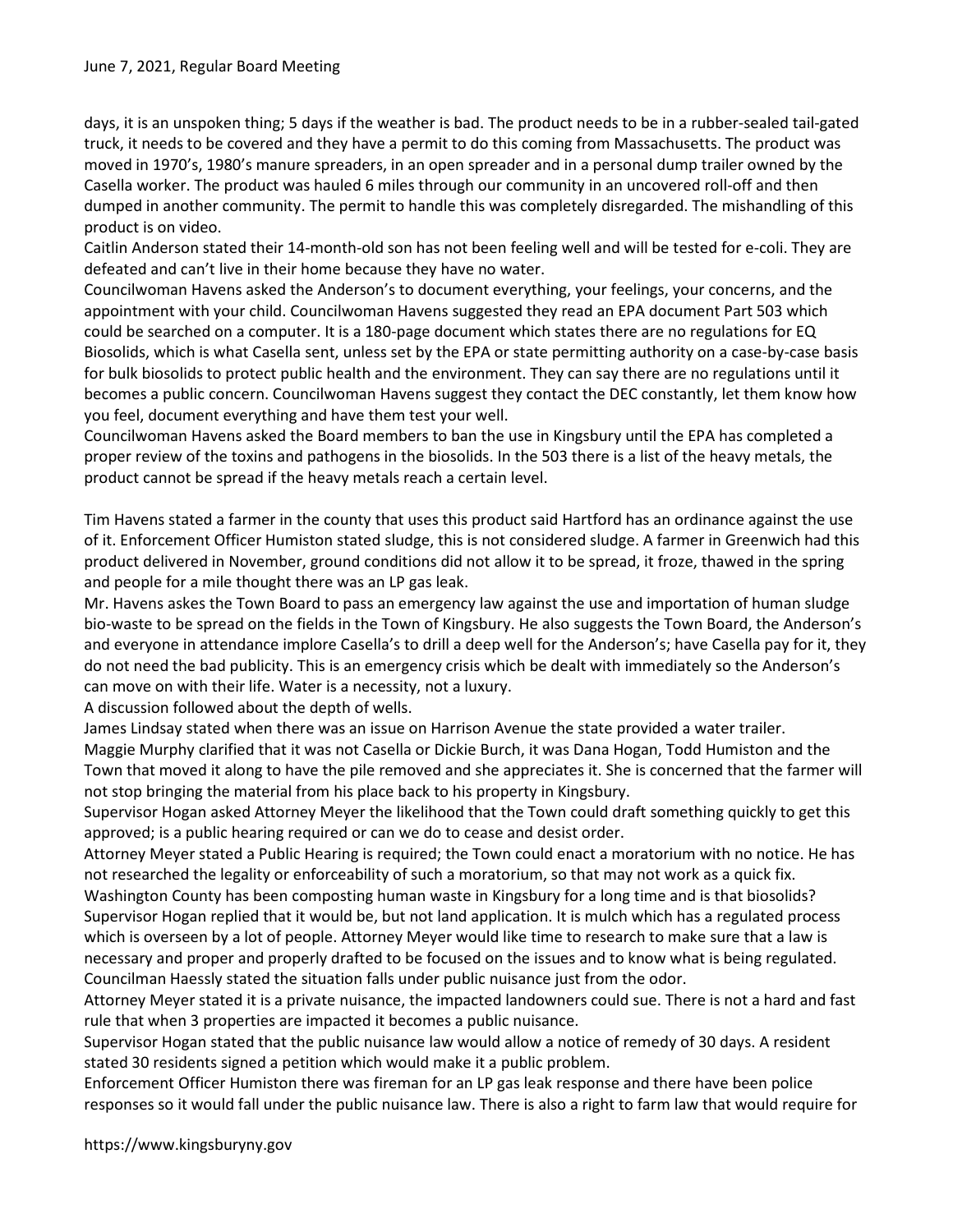days, it is an unspoken thing; 5 days if the weather is bad. The product needs to be in a rubber-sealed tail-gated truck, it needs to be covered and they have a permit to do this coming from Massachusetts. The product was moved in 1970's, 1980's manure spreaders, in an open spreader and in a personal dump trailer owned by the Casella worker. The product was hauled 6 miles through our community in an uncovered roll-off and then dumped in another community. The permit to handle this was completely disregarded. The mishandling of this product is on video.

Caitlin Anderson stated their 14-month-old son has not been feeling well and will be tested for e-coli. They are defeated and can't live in their home because they have no water.

Councilwoman Havens asked the Anderson's to document everything, your feelings, your concerns, and the appointment with your child. Councilwoman Havens suggested they read an EPA document Part 503 which could be searched on a computer. It is a 180-page document which states there are no regulations for EQ Biosolids, which is what Casella sent, unless set by the EPA or state permitting authority on a case-by-case basis for bulk biosolids to protect public health and the environment. They can say there are no regulations until it becomes a public concern. Councilwoman Havens suggest they contact the DEC constantly, let them know how you feel, document everything and have them test your well.

Councilwoman Havens asked the Board members to ban the use in Kingsbury until the EPA has completed a proper review of the toxins and pathogens in the biosolids. In the 503 there is a list of the heavy metals, the product cannot be spread if the heavy metals reach a certain level.

Tim Havens stated a farmer in the county that uses this product said Hartford has an ordinance against the use of it. Enforcement Officer Humiston stated sludge, this is not considered sludge. A farmer in Greenwich had this product delivered in November, ground conditions did not allow it to be spread, it froze, thawed in the spring and people for a mile thought there was an LP gas leak.

Mr. Havens askes the Town Board to pass an emergency law against the use and importation of human sludge bio-waste to be spread on the fields in the Town of Kingsbury. He also suggests the Town Board, the Anderson's and everyone in attendance implore Casella's to drill a deep well for the Anderson's; have Casella pay for it, they do not need the bad publicity. This is an emergency crisis which be dealt with immediately so the Anderson's can move on with their life. Water is a necessity, not a luxury.

A discussion followed about the depth of wells.

James Lindsay stated when there was an issue on Harrison Avenue the state provided a water trailer. Maggie Murphy clarified that it was not Casella or Dickie Burch, it was Dana Hogan, Todd Humiston and the Town that moved it along to have the pile removed and she appreciates it. She is concerned that the farmer will not stop bringing the material from his place back to his property in Kingsbury.

Supervisor Hogan asked Attorney Meyer the likelihood that the Town could draft something quickly to get this approved; is a public hearing required or can we do to cease and desist order.

Attorney Meyer stated a Public Hearing is required; the Town could enact a moratorium with no notice. He has not researched the legality or enforceability of such a moratorium, so that may not work as a quick fix. Washington County has been composting human waste in Kingsbury for a long time and is that biosolids? Supervisor Hogan replied that it would be, but not land application. It is mulch which has a regulated process which is overseen by a lot of people. Attorney Meyer would like time to research to make sure that a law is necessary and proper and properly drafted to be focused on the issues and to know what is being regulated. Councilman Haessly stated the situation falls under public nuisance just from the odor.

Attorney Meyer stated it is a private nuisance, the impacted landowners could sue. There is not a hard and fast rule that when 3 properties are impacted it becomes a public nuisance.

Supervisor Hogan stated that the public nuisance law would allow a notice of remedy of 30 days. A resident stated 30 residents signed a petition which would make it a public problem.

Enforcement Officer Humiston there was fireman for an LP gas leak response and there have been police responses so it would fall under the public nuisance law. There is also a right to farm law that would require for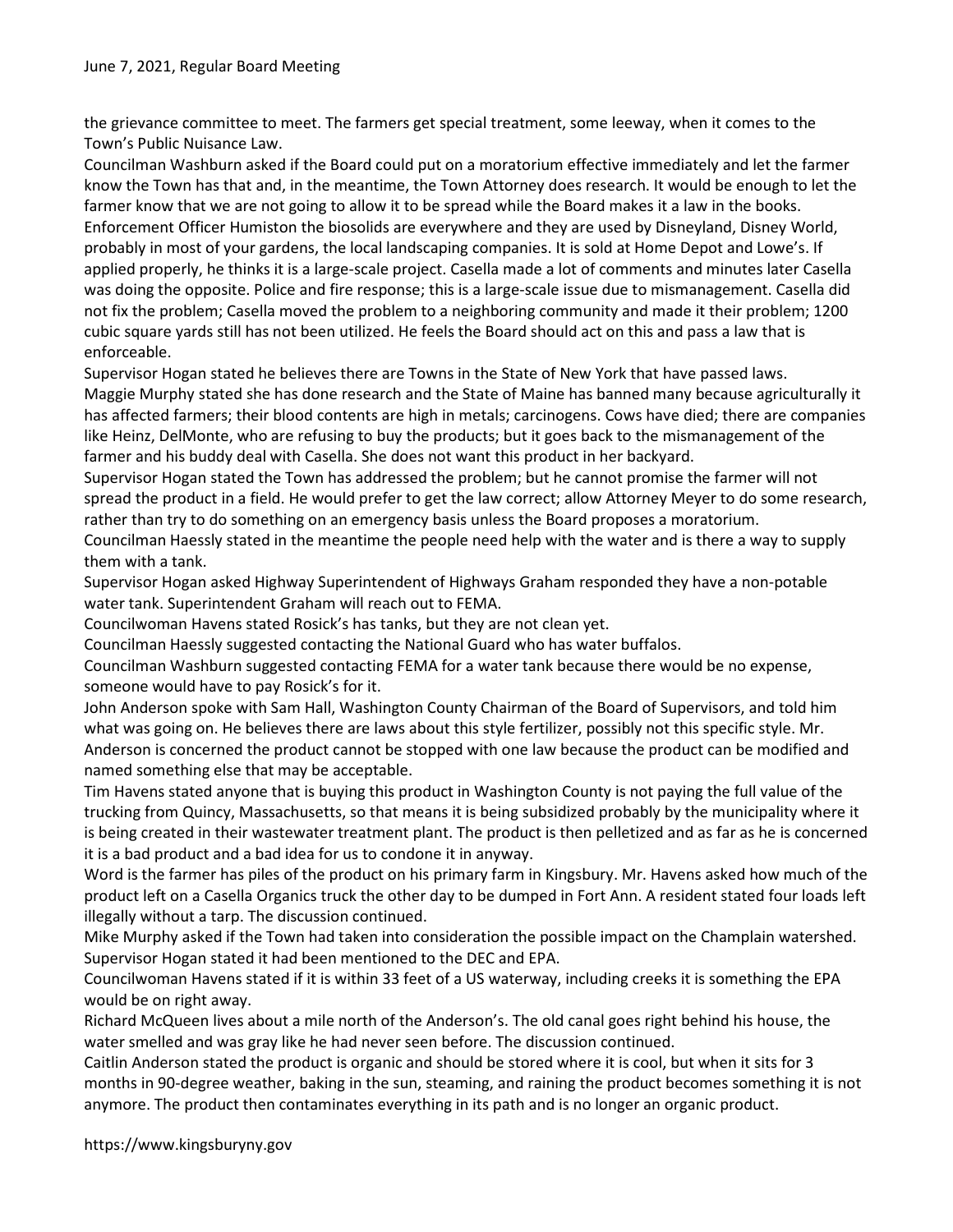the grievance committee to meet. The farmers get special treatment, some leeway, when it comes to the Town's Public Nuisance Law.

Councilman Washburn asked if the Board could put on a moratorium effective immediately and let the farmer know the Town has that and, in the meantime, the Town Attorney does research. It would be enough to let the farmer know that we are not going to allow it to be spread while the Board makes it a law in the books. Enforcement Officer Humiston the biosolids are everywhere and they are used by Disneyland, Disney World, probably in most of your gardens, the local landscaping companies. It is sold at Home Depot and Lowe's. If applied properly, he thinks it is a large-scale project. Casella made a lot of comments and minutes later Casella was doing the opposite. Police and fire response; this is a large-scale issue due to mismanagement. Casella did not fix the problem; Casella moved the problem to a neighboring community and made it their problem; 1200 cubic square yards still has not been utilized. He feels the Board should act on this and pass a law that is enforceable.

Supervisor Hogan stated he believes there are Towns in the State of New York that have passed laws. Maggie Murphy stated she has done research and the State of Maine has banned many because agriculturally it has affected farmers; their blood contents are high in metals; carcinogens. Cows have died; there are companies like Heinz, DelMonte, who are refusing to buy the products; but it goes back to the mismanagement of the farmer and his buddy deal with Casella. She does not want this product in her backyard.

Supervisor Hogan stated the Town has addressed the problem; but he cannot promise the farmer will not spread the product in a field. He would prefer to get the law correct; allow Attorney Meyer to do some research, rather than try to do something on an emergency basis unless the Board proposes a moratorium.

Councilman Haessly stated in the meantime the people need help with the water and is there a way to supply them with a tank.

Supervisor Hogan asked Highway Superintendent of Highways Graham responded they have a non-potable water tank. Superintendent Graham will reach out to FEMA.

Councilwoman Havens stated Rosick's has tanks, but they are not clean yet.

Councilman Haessly suggested contacting the National Guard who has water buffalos.

Councilman Washburn suggested contacting FEMA for a water tank because there would be no expense, someone would have to pay Rosick's for it.

John Anderson spoke with Sam Hall, Washington County Chairman of the Board of Supervisors, and told him what was going on. He believes there are laws about this style fertilizer, possibly not this specific style. Mr. Anderson is concerned the product cannot be stopped with one law because the product can be modified and named something else that may be acceptable.

Tim Havens stated anyone that is buying this product in Washington County is not paying the full value of the trucking from Quincy, Massachusetts, so that means it is being subsidized probably by the municipality where it is being created in their wastewater treatment plant. The product is then pelletized and as far as he is concerned it is a bad product and a bad idea for us to condone it in anyway.

Word is the farmer has piles of the product on his primary farm in Kingsbury. Mr. Havens asked how much of the product left on a Casella Organics truck the other day to be dumped in Fort Ann. A resident stated four loads left illegally without a tarp. The discussion continued.

Mike Murphy asked if the Town had taken into consideration the possible impact on the Champlain watershed. Supervisor Hogan stated it had been mentioned to the DEC and EPA.

Councilwoman Havens stated if it is within 33 feet of a US waterway, including creeks it is something the EPA would be on right away.

Richard McQueen lives about a mile north of the Anderson's. The old canal goes right behind his house, the water smelled and was gray like he had never seen before. The discussion continued.

Caitlin Anderson stated the product is organic and should be stored where it is cool, but when it sits for 3 months in 90-degree weather, baking in the sun, steaming, and raining the product becomes something it is not anymore. The product then contaminates everything in its path and is no longer an organic product.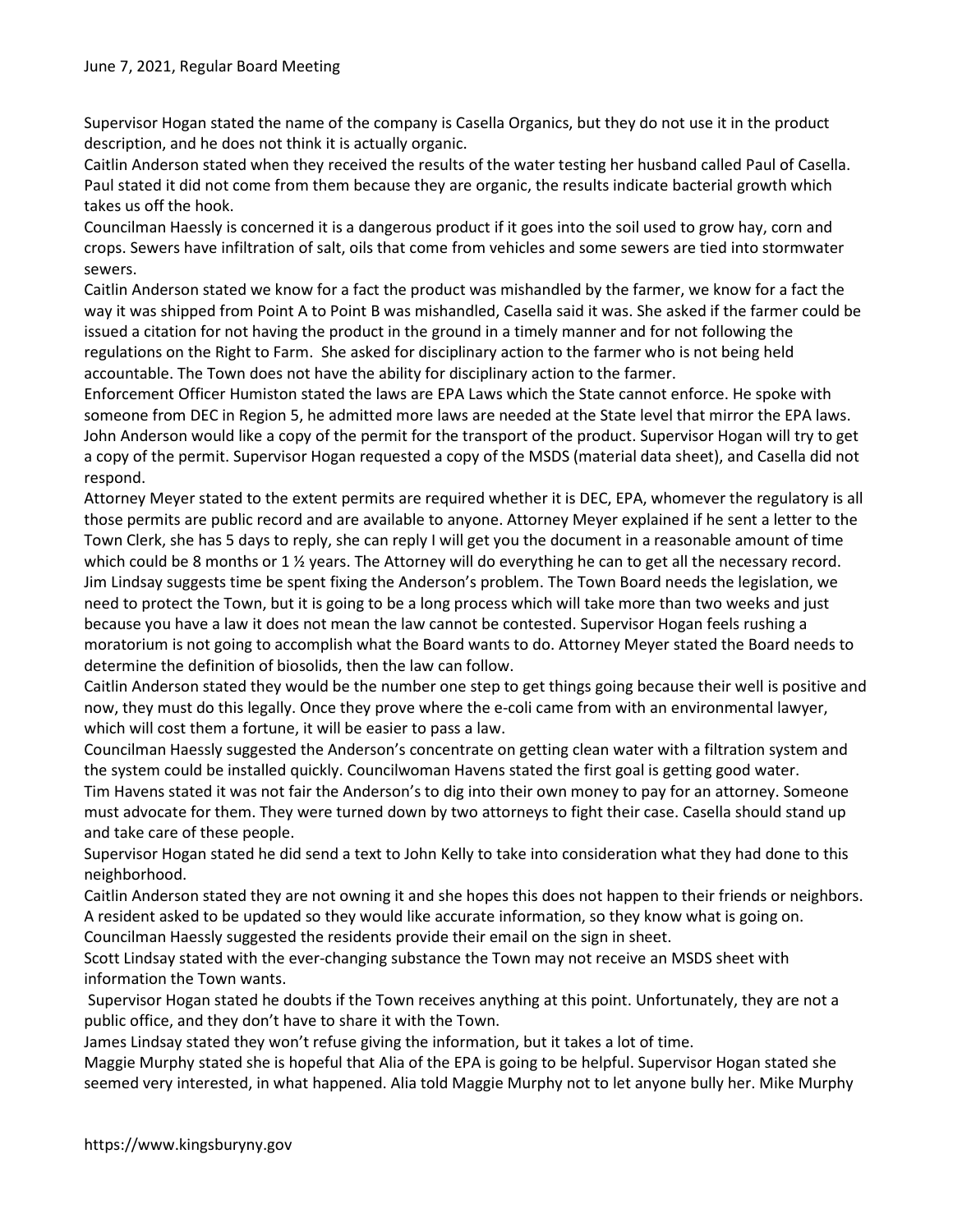Supervisor Hogan stated the name of the company is Casella Organics, but they do not use it in the product description, and he does not think it is actually organic.

Caitlin Anderson stated when they received the results of the water testing her husband called Paul of Casella. Paul stated it did not come from them because they are organic, the results indicate bacterial growth which takes us off the hook.

Councilman Haessly is concerned it is a dangerous product if it goes into the soil used to grow hay, corn and crops. Sewers have infiltration of salt, oils that come from vehicles and some sewers are tied into stormwater sewers.

Caitlin Anderson stated we know for a fact the product was mishandled by the farmer, we know for a fact the way it was shipped from Point A to Point B was mishandled, Casella said it was. She asked if the farmer could be issued a citation for not having the product in the ground in a timely manner and for not following the regulations on the Right to Farm. She asked for disciplinary action to the farmer who is not being held accountable. The Town does not have the ability for disciplinary action to the farmer.

Enforcement Officer Humiston stated the laws are EPA Laws which the State cannot enforce. He spoke with someone from DEC in Region 5, he admitted more laws are needed at the State level that mirror the EPA laws. John Anderson would like a copy of the permit for the transport of the product. Supervisor Hogan will try to get a copy of the permit. Supervisor Hogan requested a copy of the MSDS (material data sheet), and Casella did not respond.

Attorney Meyer stated to the extent permits are required whether it is DEC, EPA, whomever the regulatory is all those permits are public record and are available to anyone. Attorney Meyer explained if he sent a letter to the Town Clerk, she has 5 days to reply, she can reply I will get you the document in a reasonable amount of time which could be 8 months or 1 ½ years. The Attorney will do everything he can to get all the necessary record. Jim Lindsay suggests time be spent fixing the Anderson's problem. The Town Board needs the legislation, we need to protect the Town, but it is going to be a long process which will take more than two weeks and just because you have a law it does not mean the law cannot be contested. Supervisor Hogan feels rushing a moratorium is not going to accomplish what the Board wants to do. Attorney Meyer stated the Board needs to determine the definition of biosolids, then the law can follow.

Caitlin Anderson stated they would be the number one step to get things going because their well is positive and now, they must do this legally. Once they prove where the e-coli came from with an environmental lawyer, which will cost them a fortune, it will be easier to pass a law.

Councilman Haessly suggested the Anderson's concentrate on getting clean water with a filtration system and the system could be installed quickly. Councilwoman Havens stated the first goal is getting good water.

Tim Havens stated it was not fair the Anderson's to dig into their own money to pay for an attorney. Someone must advocate for them. They were turned down by two attorneys to fight their case. Casella should stand up and take care of these people.

Supervisor Hogan stated he did send a text to John Kelly to take into consideration what they had done to this neighborhood.

Caitlin Anderson stated they are not owning it and she hopes this does not happen to their friends or neighbors. A resident asked to be updated so they would like accurate information, so they know what is going on.

Councilman Haessly suggested the residents provide their email on the sign in sheet.

Scott Lindsay stated with the ever-changing substance the Town may not receive an MSDS sheet with information the Town wants.

 Supervisor Hogan stated he doubts if the Town receives anything at this point. Unfortunately, they are not a public office, and they don't have to share it with the Town.

James Lindsay stated they won't refuse giving the information, but it takes a lot of time.

Maggie Murphy stated she is hopeful that Alia of the EPA is going to be helpful. Supervisor Hogan stated she seemed very interested, in what happened. Alia told Maggie Murphy not to let anyone bully her. Mike Murphy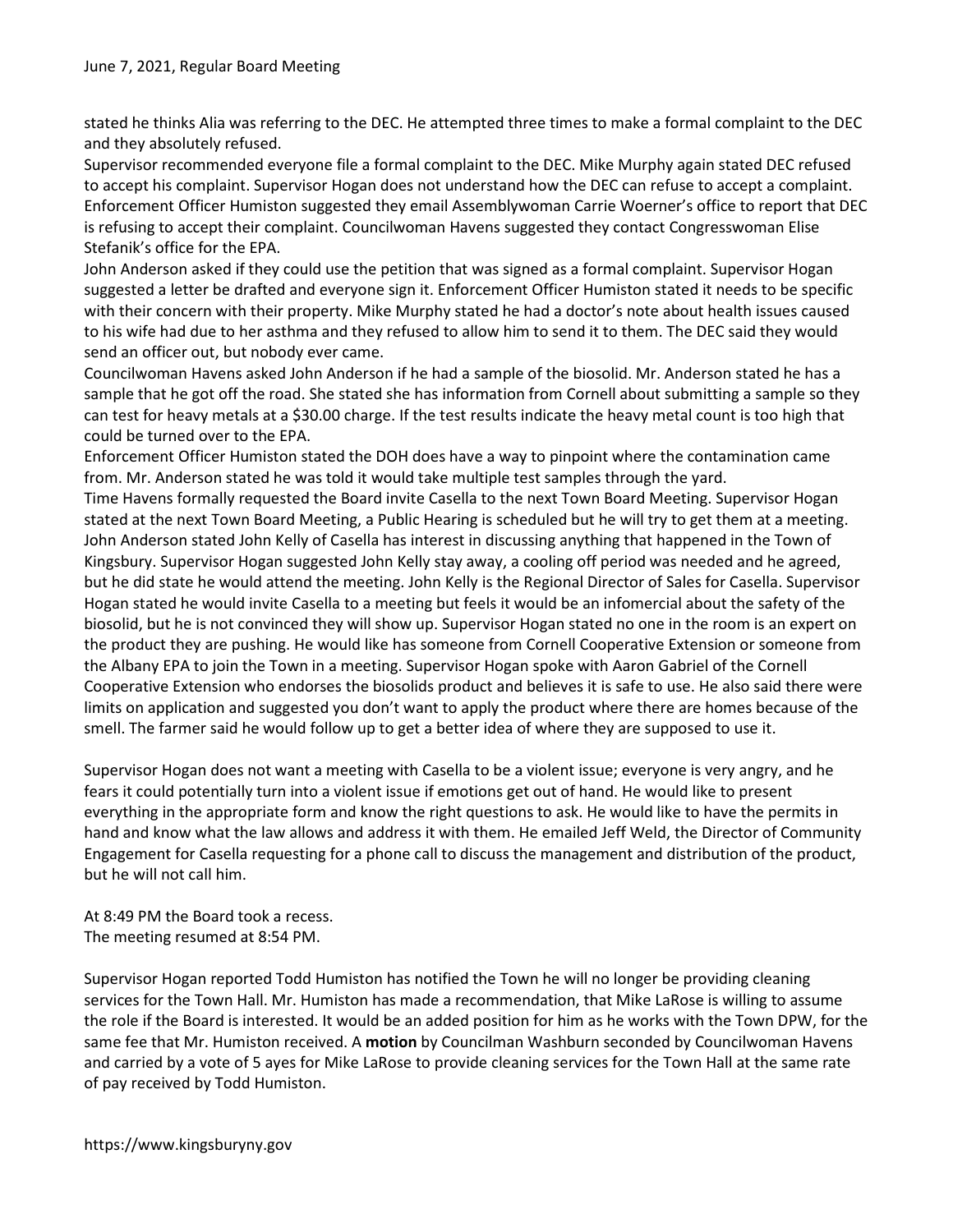stated he thinks Alia was referring to the DEC. He attempted three times to make a formal complaint to the DEC and they absolutely refused.

Supervisor recommended everyone file a formal complaint to the DEC. Mike Murphy again stated DEC refused to accept his complaint. Supervisor Hogan does not understand how the DEC can refuse to accept a complaint. Enforcement Officer Humiston suggested they email Assemblywoman Carrie Woerner's office to report that DEC is refusing to accept their complaint. Councilwoman Havens suggested they contact Congresswoman Elise Stefanik's office for the EPA.

John Anderson asked if they could use the petition that was signed as a formal complaint. Supervisor Hogan suggested a letter be drafted and everyone sign it. Enforcement Officer Humiston stated it needs to be specific with their concern with their property. Mike Murphy stated he had a doctor's note about health issues caused to his wife had due to her asthma and they refused to allow him to send it to them. The DEC said they would send an officer out, but nobody ever came.

Councilwoman Havens asked John Anderson if he had a sample of the biosolid. Mr. Anderson stated he has a sample that he got off the road. She stated she has information from Cornell about submitting a sample so they can test for heavy metals at a \$30.00 charge. If the test results indicate the heavy metal count is too high that could be turned over to the EPA.

Enforcement Officer Humiston stated the DOH does have a way to pinpoint where the contamination came from. Mr. Anderson stated he was told it would take multiple test samples through the yard.

Time Havens formally requested the Board invite Casella to the next Town Board Meeting. Supervisor Hogan stated at the next Town Board Meeting, a Public Hearing is scheduled but he will try to get them at a meeting. John Anderson stated John Kelly of Casella has interest in discussing anything that happened in the Town of Kingsbury. Supervisor Hogan suggested John Kelly stay away, a cooling off period was needed and he agreed, but he did state he would attend the meeting. John Kelly is the Regional Director of Sales for Casella. Supervisor Hogan stated he would invite Casella to a meeting but feels it would be an infomercial about the safety of the biosolid, but he is not convinced they will show up. Supervisor Hogan stated no one in the room is an expert on the product they are pushing. He would like has someone from Cornell Cooperative Extension or someone from the Albany EPA to join the Town in a meeting. Supervisor Hogan spoke with Aaron Gabriel of the Cornell Cooperative Extension who endorses the biosolids product and believes it is safe to use. He also said there were limits on application and suggested you don't want to apply the product where there are homes because of the smell. The farmer said he would follow up to get a better idea of where they are supposed to use it.

Supervisor Hogan does not want a meeting with Casella to be a violent issue; everyone is very angry, and he fears it could potentially turn into a violent issue if emotions get out of hand. He would like to present everything in the appropriate form and know the right questions to ask. He would like to have the permits in hand and know what the law allows and address it with them. He emailed Jeff Weld, the Director of Community Engagement for Casella requesting for a phone call to discuss the management and distribution of the product, but he will not call him.

At 8:49 PM the Board took a recess. The meeting resumed at 8:54 PM.

Supervisor Hogan reported Todd Humiston has notified the Town he will no longer be providing cleaning services for the Town Hall. Mr. Humiston has made a recommendation, that Mike LaRose is willing to assume the role if the Board is interested. It would be an added position for him as he works with the Town DPW, for the same fee that Mr. Humiston received. A motion by Councilman Washburn seconded by Councilwoman Havens and carried by a vote of 5 ayes for Mike LaRose to provide cleaning services for the Town Hall at the same rate of pay received by Todd Humiston.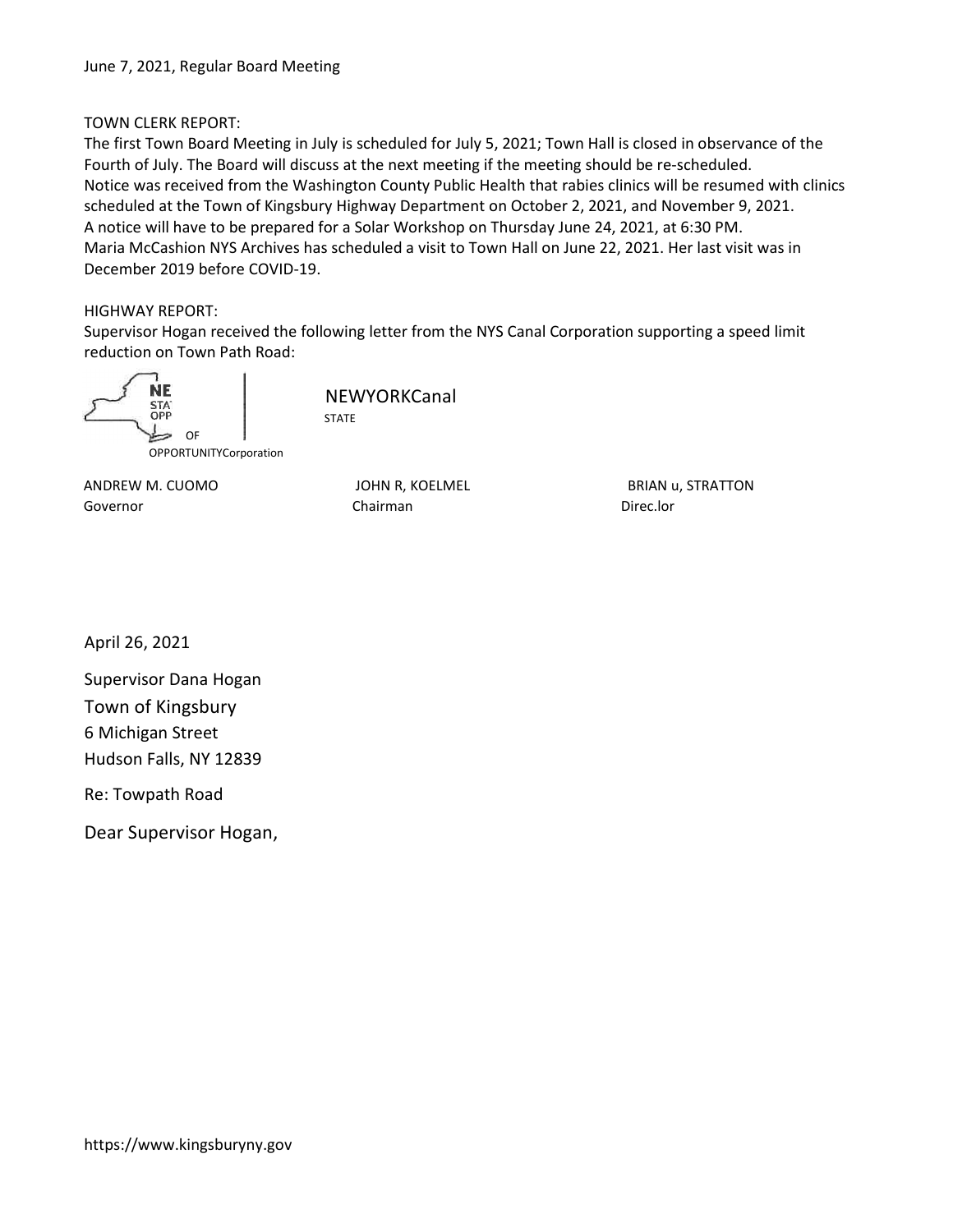# TOWN CLERK REPORT:

The first Town Board Meeting in July is scheduled for July 5, 2021; Town Hall is closed in observance of the Fourth of July. The Board will discuss at the next meeting if the meeting should be re-scheduled. Notice was received from the Washington County Public Health that rabies clinics will be resumed with clinics scheduled at the Town of Kingsbury Highway Department on October 2, 2021, and November 9, 2021. A notice will have to be prepared for a Solar Workshop on Thursday June 24, 2021, at 6:30 PM. Maria McCashion NYS Archives has scheduled a visit to Town Hall on June 22, 2021. Her last visit was in December 2019 before COVID-19.

## HIGHWAY REPORT:

Supervisor Hogan received the following letter from the NYS Canal Corporation supporting a speed limit reduction on Town Path Road:



**NEWYORKCanal** STATE

ANDREW M. CUOMO GALLEY OUT BRIAN U, STRATTON BRIAN U, STRATTON Governor **Chairman** Chairman Chairman Direc.lor

April 26, 2021

Supervisor Dana Hogan Town of Kingsbury 6 Michigan Street Hudson Falls, NY 12839

Re: Towpath Road

Dear Supervisor Hogan,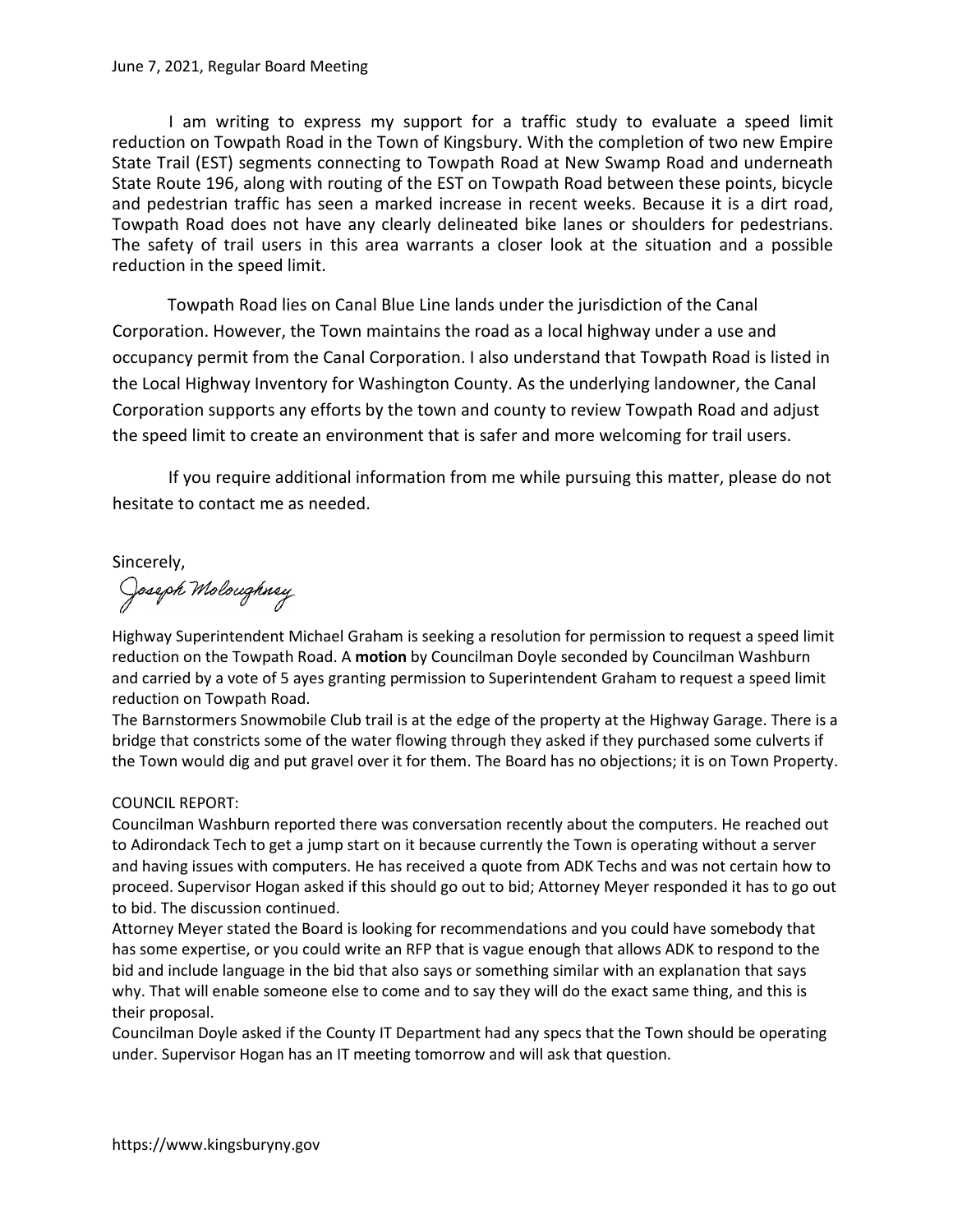#### June 7, 2021, Regular Board Meeting

I am writing to express my support for a traffic study to evaluate a speed limit reduction on Towpath Road in the Town of Kingsbury. With the completion of two new Empire State Trail (EST) segments connecting to Towpath Road at New Swamp Road and underneath State Route 196, along with routing of the EST on Towpath Road between these points, bicycle and pedestrian traffic has seen a marked increase in recent weeks. Because it is a dirt road, Towpath Road does not have any clearly delineated bike lanes or shoulders for pedestrians. The safety of trail users in this area warrants a closer look at the situation and a possible reduction in the speed limit.

Towpath Road lies on Canal Blue Line lands under the jurisdiction of the Canal Corporation. However, the Town maintains the road as a local highway under a use and occupancy permit from the Canal Corporation. I also understand that Towpath Road is listed in the Local Highway Inventory for Washington County. As the underlying landowner, the Canal Corporation supports any efforts by the town and county to review Towpath Road and adjust the speed limit to create an environment that is safer and more welcoming for trail users.

If you require additional information from me while pursuing this matter, please do not hesitate to contact me as needed.

# Sincerely,

Joseph Moloughney

Highway Superintendent Michael Graham is seeking a resolution for permission to request a speed limit reduction on the Towpath Road. A motion by Councilman Doyle seconded by Councilman Washburn and carried by a vote of 5 ayes granting permission to Superintendent Graham to request a speed limit reduction on Towpath Road.

The Barnstormers Snowmobile Club trail is at the edge of the property at the Highway Garage. There is a bridge that constricts some of the water flowing through they asked if they purchased some culverts if the Town would dig and put gravel over it for them. The Board has no objections; it is on Town Property.

## COUNCIL REPORT:

Councilman Washburn reported there was conversation recently about the computers. He reached out to Adirondack Tech to get a jump start on it because currently the Town is operating without a server and having issues with computers. He has received a quote from ADK Techs and was not certain how to proceed. Supervisor Hogan asked if this should go out to bid; Attorney Meyer responded it has to go out to bid. The discussion continued.

Attorney Meyer stated the Board is looking for recommendations and you could have somebody that has some expertise, or you could write an RFP that is vague enough that allows ADK to respond to the bid and include language in the bid that also says or something similar with an explanation that says why. That will enable someone else to come and to say they will do the exact same thing, and this is their proposal.

Councilman Doyle asked if the County IT Department had any specs that the Town should be operating under. Supervisor Hogan has an IT meeting tomorrow and will ask that question.